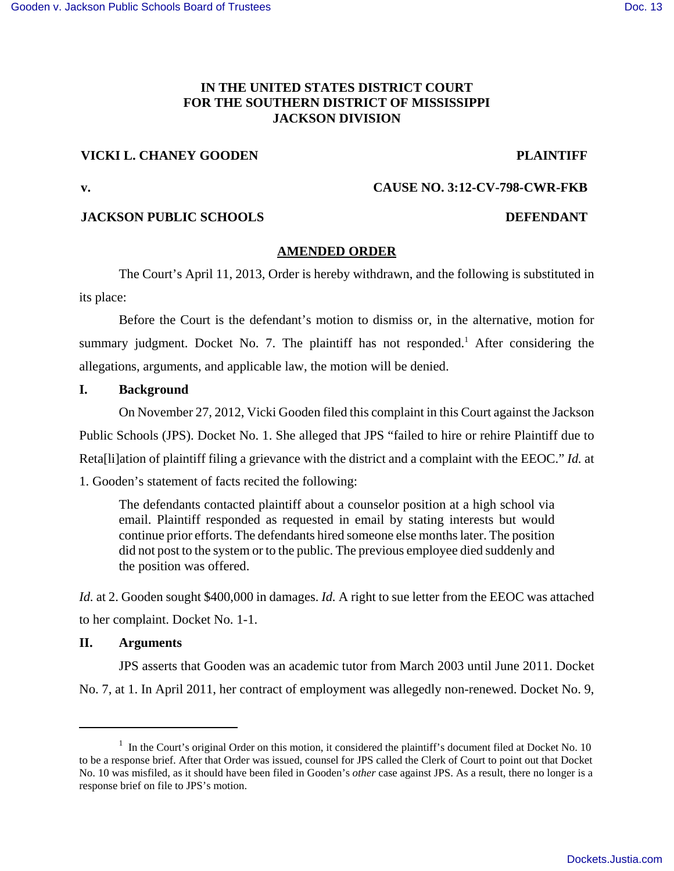# **IN THE UNITED STATES DISTRICT COURT FOR THE SOUTHERN DISTRICT OF MISSISSIPPI JACKSON DIVISION**

# **VICKI L. CHANEY GOODEN PLAINTIFF**

**v. CAUSE NO. 3:12-CV-798-CWR-FKB**

# **JACKSON PUBLIC SCHOOLS DEFENDANT**

## **AMENDED ORDER**

The Court's April 11, 2013, Order is hereby withdrawn, and the following is substituted in its place:

Before the Court is the defendant's motion to dismiss or, in the alternative, motion for summary judgment. Docket No. 7. The plaintiff has not responded.<sup>1</sup> After considering the allegations, arguments, and applicable law, the motion will be denied.

## **I. Background**

On November 27, 2012, Vicki Gooden filed this complaint in this Court against the Jackson Public Schools (JPS). Docket No. 1. She alleged that JPS "failed to hire or rehire Plaintiff due to Reta[li]ation of plaintiff filing a grievance with the district and a complaint with the EEOC." *Id.* at 1. Gooden's statement of facts recited the following:

The defendants contacted plaintiff about a counselor position at a high school via email. Plaintiff responded as requested in email by stating interests but would continue prior efforts. The defendants hired someone else months later. The position did not post to the system or to the public. The previous employee died suddenly and the position was offered.

*Id.* at 2. Gooden sought \$400,000 in damages. *Id.* A right to sue letter from the EEOC was attached to her complaint. Docket No. 1-1.

## **II. Arguments**

JPS asserts that Gooden was an academic tutor from March 2003 until June 2011. Docket No. 7, at 1. In April 2011, her contract of employment was allegedly non-renewed. Docket No. 9,

<sup>&</sup>lt;sup>1</sup> In the Court's original Order on this motion, it considered the plaintiff's document filed at Docket No. 10 to be a response brief. After that Order was issued, counsel for JPS called the Clerk of Court to point out that Docket No. 10 was misfiled, as it should have been filed in Gooden's *other* case against JPS. As a result, there no longer is a response brief on file to JPS's motion.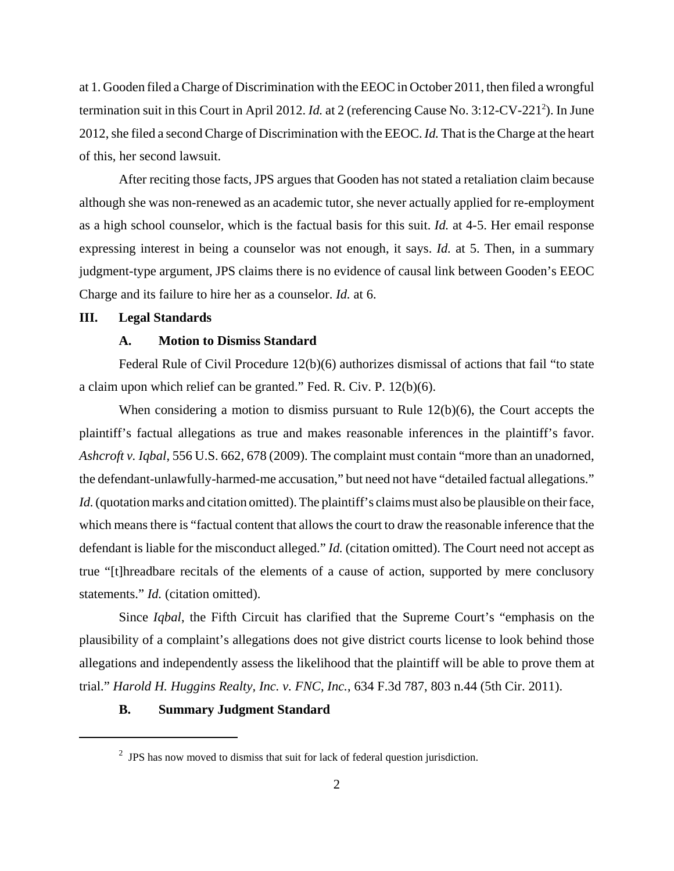at 1. Gooden filed a Charge of Discrimination with the EEOC in October 2011, then filed a wrongful termination suit in this Court in April 2012. *Id.* at 2 (referencing Cause No. 3:12-CV-221<sup>2</sup>). In June 2012, she filed a second Charge of Discrimination with the EEOC. *Id.* That is the Charge at the heart of this, her second lawsuit.

After reciting those facts, JPS argues that Gooden has not stated a retaliation claim because although she was non-renewed as an academic tutor, she never actually applied for re-employment as a high school counselor, which is the factual basis for this suit. *Id.* at 4-5. Her email response expressing interest in being a counselor was not enough, it says. *Id.* at 5. Then, in a summary judgment-type argument, JPS claims there is no evidence of causal link between Gooden's EEOC Charge and its failure to hire her as a counselor. *Id.* at 6.

#### **III. Legal Standards**

## **A. Motion to Dismiss Standard**

Federal Rule of Civil Procedure 12(b)(6) authorizes dismissal of actions that fail "to state a claim upon which relief can be granted." Fed. R. Civ. P. 12(b)(6).

When considering a motion to dismiss pursuant to Rule 12(b)(6), the Court accepts the plaintiff's factual allegations as true and makes reasonable inferences in the plaintiff's favor. *Ashcroft v. Iqbal*, 556 U.S. 662, 678 (2009). The complaint must contain "more than an unadorned, the defendant-unlawfully-harmed-me accusation," but need not have "detailed factual allegations." *Id.* (quotation marks and citation omitted). The plaintiff's claims must also be plausible on their face, which means there is "factual content that allows the court to draw the reasonable inference that the defendant is liable for the misconduct alleged." *Id.* (citation omitted). The Court need not accept as true "[t]hreadbare recitals of the elements of a cause of action, supported by mere conclusory statements." *Id.* (citation omitted).

Since *Iqbal*, the Fifth Circuit has clarified that the Supreme Court's "emphasis on the plausibility of a complaint's allegations does not give district courts license to look behind those allegations and independently assess the likelihood that the plaintiff will be able to prove them at trial." *Harold H. Huggins Realty, Inc. v. FNC, Inc.*, 634 F.3d 787, 803 n.44 (5th Cir. 2011).

### **B. Summary Judgment Standard**

 $2$  JPS has now moved to dismiss that suit for lack of federal question jurisdiction.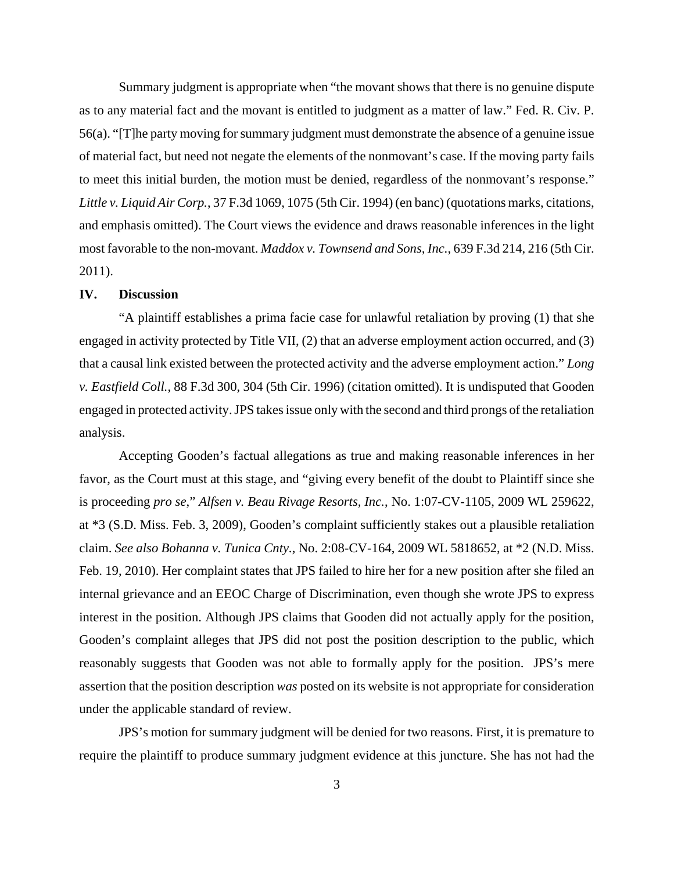Summary judgment is appropriate when "the movant shows that there is no genuine dispute as to any material fact and the movant is entitled to judgment as a matter of law." Fed. R. Civ. P. 56(a). "[T]he party moving forsummary judgment must demonstrate the absence of a genuine issue of material fact, but need not negate the elements of the nonmovant's case. If the moving party fails to meet this initial burden, the motion must be denied, regardless of the nonmovant's response." *Little v. Liquid Air Corp.*, 37 F.3d 1069, 1075 (5th Cir. 1994) (en banc) (quotations marks, citations, and emphasis omitted). The Court views the evidence and draws reasonable inferences in the light most favorable to the non-movant. *Maddox v. Townsend and Sons, Inc.*, 639 F.3d 214, 216 (5th Cir. 2011).

#### **IV. Discussion**

"A plaintiff establishes a prima facie case for unlawful retaliation by proving (1) that she engaged in activity protected by Title VII, (2) that an adverse employment action occurred, and (3) that a causal link existed between the protected activity and the adverse employment action." *Long v. Eastfield Coll.*, 88 F.3d 300, 304 (5th Cir. 1996) (citation omitted). It is undisputed that Gooden engaged in protected activity. JPS takes issue only with the second and third prongs of the retaliation analysis.

Accepting Gooden's factual allegations as true and making reasonable inferences in her favor, as the Court must at this stage, and "giving every benefit of the doubt to Plaintiff since she is proceeding *pro se*," *Alfsen v. Beau Rivage Resorts, Inc.*, No. 1:07-CV-1105, 2009 WL 259622, at \*3 (S.D. Miss. Feb. 3, 2009), Gooden's complaint sufficiently stakes out a plausible retaliation claim. *See also Bohanna v. Tunica Cnty.*, No. 2:08-CV-164, 2009 WL 5818652, at \*2 (N.D. Miss. Feb. 19, 2010). Her complaint states that JPS failed to hire her for a new position after she filed an internal grievance and an EEOC Charge of Discrimination, even though she wrote JPS to express interest in the position. Although JPS claims that Gooden did not actually apply for the position, Gooden's complaint alleges that JPS did not post the position description to the public, which reasonably suggests that Gooden was not able to formally apply for the position. JPS's mere assertion that the position description *was* posted on its website is not appropriate for consideration under the applicable standard of review.

JPS's motion for summary judgment will be denied for two reasons. First, it is premature to require the plaintiff to produce summary judgment evidence at this juncture. She has not had the